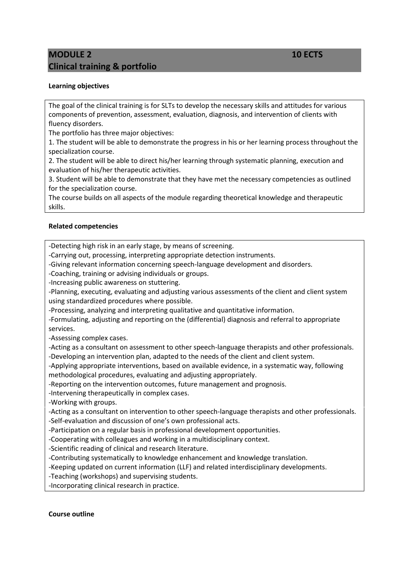# **MODULE 2** 10 **ECTS Clinical training & portfolio**

## **Learning objectives**

The goal of the clinical training is for SLTs to develop the necessary skills and attitudes for various components of prevention, assessment, evaluation, diagnosis, and intervention of clients with fluency disorders.

The portfolio has three major objectives:

1. The student will be able to demonstrate the progress in his or her learning process throughout the specialization course.

2. The student will be able to direct his/her learning through systematic planning, execution and evaluation of his/her therapeutic activities.

3. Student will be able to demonstrate that they have met the necessary competencies as outlined for the specialization course.

The course builds on all aspects of the module regarding theoretical knowledge and therapeutic skills.

### **Related competencies**

-Detecting high risk in an early stage, by means of screening.

-Carrying out, processing, interpreting appropriate detection instruments.

-Giving relevant information concerning speech-language development and disorders.

-Coaching, training or advising individuals or groups.

-Increasing public awareness on stuttering.

-Planning, executing, evaluating and adjusting various assessments of the client and client system using standardized procedures where possible.

-Processing, analyzing and interpreting qualitative and quantitative information.

-Formulating, adjusting and reporting on the (differential) diagnosis and referral to appropriate services.

-Assessing complex cases.

-Acting as a consultant on assessment to other speech-language therapists and other professionals. -Developing an intervention plan, adapted to the needs of the client and client system.

-Applying appropriate interventions, based on available evidence, in a systematic way, following methodological procedures, evaluating and adjusting appropriately.

-Reporting on the intervention outcomes, future management and prognosis.

-Intervening therapeutically in complex cases.

-Working with groups.

-Acting as a consultant on intervention to other speech-language therapists and other professionals. -Self-evaluation and discussion of one's own professional acts.

-Participation on a regular basis in professional development opportunities.

-Cooperating with colleagues and working in a multidisciplinary context.

-Scientific reading of clinical and research literature.

-Contributing systematically to knowledge enhancement and knowledge translation.

-Keeping updated on current information (LLF) and related interdisciplinary developments.

-Teaching (workshops) and supervising students.

-Incorporating clinical research in practice.

#### **Course outline**